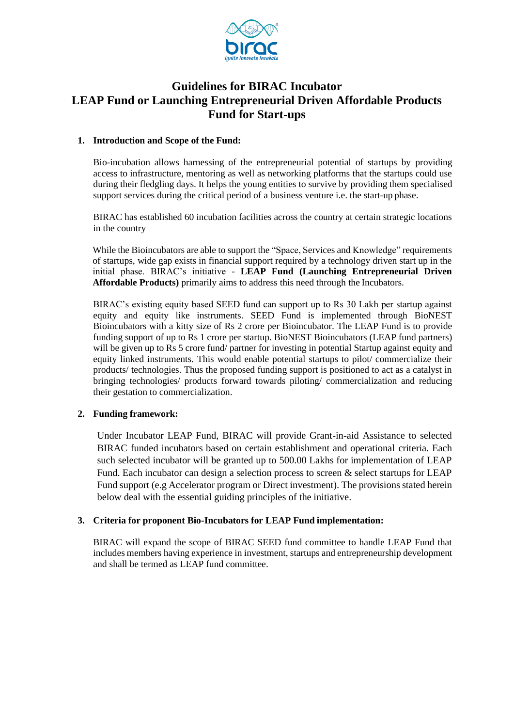

# **Guidelines for BIRAC Incubator LEAP Fund or Launching Entrepreneurial Driven Affordable Products Fund for Start-ups**

#### **1. Introduction and Scope of the Fund:**

Bio-incubation allows harnessing of the entrepreneurial potential of startups by providing access to infrastructure, mentoring as well as networking platforms that the startups could use during their fledgling days. It helps the young entities to survive by providing them specialised support services during the critical period of a business venture i.e. the start-up phase.

BIRAC has established 60 incubation facilities across the country at certain strategic locations in the country

While the Bioincubators are able to support the "Space, Services and Knowledge" requirements of startups, wide gap exists in financial support required by a technology driven start up in the initial phase. BIRAC's initiative - **LEAP Fund (Launching Entrepreneurial Driven Affordable Products)** primarily aims to address this need through the Incubators.

BIRAC's existing equity based SEED fund can support up to Rs 30 Lakh per startup against equity and equity like instruments. SEED Fund is implemented through BioNEST Bioincubators with a kitty size of Rs 2 crore per Bioincubator. The LEAP Fund is to provide funding support of up to Rs 1 crore per startup. BioNEST Bioincubators (LEAP fund partners) will be given up to Rs 5 crore fund/ partner for investing in potential Startup against equity and equity linked instruments. This would enable potential startups to pilot/ commercialize their products/ technologies. Thus the proposed funding support is positioned to act as a catalyst in bringing technologies/ products forward towards piloting/ commercialization and reducing their gestation to commercialization.

## **2. Funding framework:**

Under Incubator LEAP Fund, BIRAC will provide Grant-in-aid Assistance to selected BIRAC funded incubators based on certain establishment and operational criteria. Each such selected incubator will be granted up to 500.00 Lakhs for implementation of LEAP Fund. Each incubator can design a selection process to screen  $\&$  select startups for LEAP Fund support (e.g Accelerator program or Direct investment). The provisions stated herein below deal with the essential guiding principles of the initiative.

## **3. Criteria for proponent Bio-Incubators for LEAP Fund implementation:**

BIRAC will expand the scope of BIRAC SEED fund committee to handle LEAP Fund that includes members having experience in investment, startups and entrepreneurship development and shall be termed as LEAP fund committee.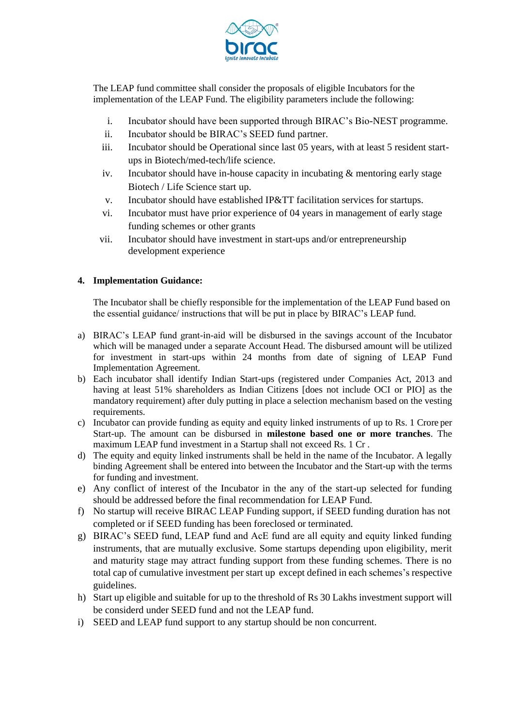

The LEAP fund committee shall consider the proposals of eligible Incubators for the implementation of the LEAP Fund. The eligibility parameters include the following:

- i. Incubator should have been supported through BIRAC's Bio-NEST programme.
- ii. Incubator should be BIRAC's SEED fund partner.
- iii. Incubator should be Operational since last 05 years, with at least 5 resident startups in Biotech/med-tech/life science.
- iv. Incubator should have in-house capacity in incubating & mentoring early stage Biotech / Life Science start up.
- v. Incubator should have established IP&TT facilitation services for startups.
- vi. Incubator must have prior experience of 04 years in management of early stage funding schemes or other grants
- vii. Incubator should have investment in start-ups and/or entrepreneurship development experience

## **4. Implementation Guidance:**

The Incubator shall be chiefly responsible for the implementation of the LEAP Fund based on the essential guidance/ instructions that will be put in place by BIRAC's LEAP fund.

- a) BIRAC's LEAP fund grant-in-aid will be disbursed in the savings account of the Incubator which will be managed under a separate Account Head. The disbursed amount will be utilized for investment in start-ups within 24 months from date of signing of LEAP Fund Implementation Agreement.
- b) Each incubator shall identify Indian Start-ups (registered under Companies Act, 2013 and having at least 51% shareholders as Indian Citizens [does not include OCI or PIO] as the mandatory requirement) after duly putting in place a selection mechanism based on the vesting requirements.
- c) Incubator can provide funding as equity and equity linked instruments of up to Rs. 1 Crore per Start-up. The amount can be disbursed in **milestone based one or more tranches**. The maximum LEAP fund investment in a Startup shall not exceed Rs. 1 Cr .
- d) The equity and equity linked instruments shall be held in the name of the Incubator. A legally binding Agreement shall be entered into between the Incubator and the Start-up with the terms for funding and investment.
- e) Any conflict of interest of the Incubator in the any of the start-up selected for funding should be addressed before the final recommendation for LEAP Fund.
- f) No startup will receive BIRAC LEAP Funding support, if SEED funding duration has not completed or if SEED funding has been foreclosed or terminated.
- g) BIRAC's SEED fund, LEAP fund and AcE fund are all equity and equity linked funding instruments, that are mutually exclusive. Some startups depending upon eligibility, merit and maturity stage may attract funding support from these funding schemes. There is no total cap of cumulative investment per start up except defined in each schemes's respective guidelines.
- h) Start up eligible and suitable for up to the threshold of Rs 30 Lakhs investment support will be considerd under SEED fund and not the LEAP fund.
- i) SEED and LEAP fund support to any startup should be non concurrent.